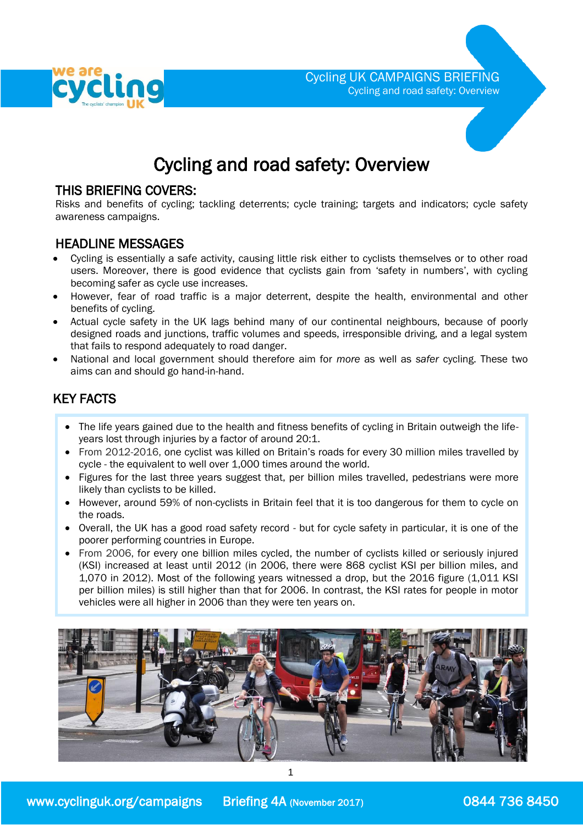

# Cycling and road safety: Overview

## THIS BRIEFING COVERS:

Risks and benefits of cycling; tackling deterrents; cycle training; targets and indicators; cycle safety awareness campaigns.

### HEADLINE MESSAGES

- Cycling is essentially a safe activity, causing little risk either to cyclists themselves or to other road users. Moreover, there is good evidence that cyclists gain from 'safety in numbers', with cycling becoming safer as cycle use increases.
- However, fear of road traffic is a major deterrent, despite the health, environmental and other benefits of cycling.
- Actual cycle safety in the UK lags behind many of our continental neighbours, because of poorly designed roads and junctions, traffic volumes and speeds, irresponsible driving, and a legal system that fails to respond adequately to road danger.
- National and local government should therefore aim for *more* as well as *safer* cycling. These two aims can and should go hand-in-hand.

# KEY FACTS

- The life years gained due to the health and fitness benefits of cycling in Britain outweigh the lifeyears lost through injuries by a factor of around 20:1.
- From 2012-2016, one cyclist was killed on Britain's roads for every 30 million miles travelled by cycle - the equivalent to well over 1,000 times around the world.
- Figures for the last three years suggest that, per billion miles travelled, pedestrians were more likely than cyclists to be killed.
- However, around 59% of non-cyclists in Britain feel that it is too dangerous for them to cycle on the roads.
- Overall, the UK has a good road safety record but for cycle safety in particular, it is one of the poorer performing countries in Europe.
- From 2006, for every one billion miles cycled, the number of cyclists killed or seriously injured (KSI) increased at least until 2012 (in 2006, there were 868 cyclist KSI per billion miles, and 1,070 in 2012). Most of the following years witnessed a drop, but the 2016 figure (1,011 KSI per billion miles) is still higher than that for 2006. In contrast, the KSI rates for people in motor vehicles were all higher in 2006 than they were ten years on.

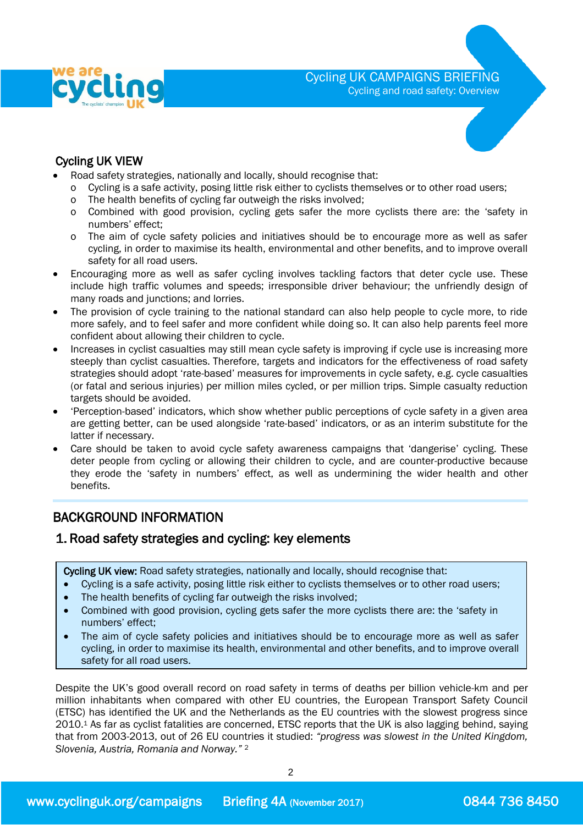

# Cycling UK CAMPAIGNS BRIEFING

Cycling and road safety: Overview

## Cycling UK VIEW

- Road safety strategies, nationally and locally, should recognise that:
	- o Cycling is a safe activity, posing little risk either to cyclists themselves or to other road users;
	- o The health benefits of cycling far outweigh the risks involved;
	- o Combined with good provision, cycling gets safer the more cyclists there are: the 'safety in numbers' effect;
	- o The aim of cycle safety policies and initiatives should be to encourage more as well as safer cycling, in order to maximise its health, environmental and other benefits, and to improve overall safety for all road users.
- Encouraging more as well as safer cycling involves tackling factors that deter cycle use. These include high traffic volumes and speeds; irresponsible driver behaviour; the unfriendly design of many roads and junctions; and lorries.
- The provision of cycle training to the national standard can also help people to cycle more, to ride more safely, and to feel safer and more confident while doing so. It can also help parents feel more confident about allowing their children to cycle.
- Increases in cyclist casualties may still mean cycle safety is improving if cycle use is increasing more steeply than cyclist casualties. Therefore, targets and indicators for the effectiveness of road safety strategies should adopt 'rate-based' measures for improvements in cycle safety, e.g. cycle casualties (or fatal and serious injuries) per million miles cycled, or per million trips. Simple casualty reduction targets should be avoided.
- 'Perception-based' indicators, which show whether public perceptions of cycle safety in a given area are getting better, can be used alongside 'rate-based' indicators, or as an interim substitute for the latter if necessary.
- Care should be taken to avoid cycle safety awareness campaigns that 'dangerise' cycling. These deter people from cycling or allowing their children to cycle, and are counter-productive because they erode the 'safety in numbers' effect, as well as undermining the wider health and other benefits.

## BACKGROUND INFORMATION

  $\overline{\phantom{a}}$  $\overline{\phantom{a}}$  $\overline{\phantom{a}}$ 

## 1. Road safety strategies and cycling: key elements

Cycling UK view: Road safety strategies, nationally and locally, should recognise that:

- Cycling is a safe activity, posing little risk either to cyclists themselves or to other road users;
- The health benefits of cycling far outweigh the risks involved;
- Combined with good provision, cycling gets safer the more cyclists there are: the 'safety in numbers' effect;
- The aim of cycle safety policies and initiatives should be to encourage more as well as safer cycling, in order to maximise its health, environmental and other benefits, and to improve overall safety for all road users.

Despite the UK's good overall record on road safety in terms of deaths per billion vehicle-km and per million inhabitants when compared with other EU countries, the European Transport Safety Council (ETSC) has identified the UK and the Netherlands as the EU countries with the slowest progress since 2010. <sup>1</sup> As far as cyclist fatalities are concerned, ETSC reports that the UK is also lagging behind, saying that from 2003-2013, out of 26 EU countries it studied: *"progress was slowest in the United Kingdom, Slovenia, Austria, Romania and Norway."* 2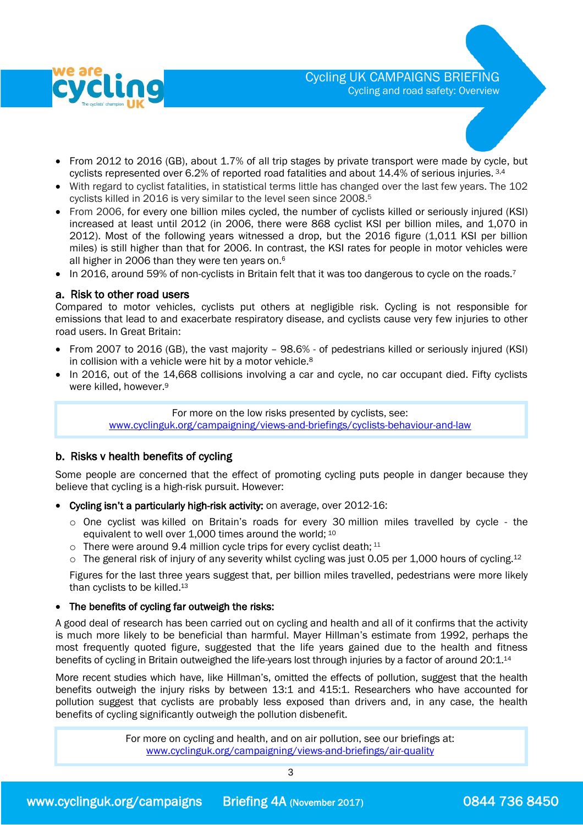

- From 2012 to 2016 (GB), about 1.7% of all trip stages by private transport were made by cycle, but cyclists represented over 6.2% of reported road fatalities and about 14.4% of serious injuries. 3,4
- With regard to cyclist fatalities, in statistical terms little has changed over the last few years. The 102 cyclists killed in 2016 is very similar to the level seen since 2008. 5
- From 2006, for every one billion miles cycled, the number of cyclists killed or seriously injured (KSI) increased at least until 2012 (in 2006, there were 868 cyclist KSI per billion miles, and 1,070 in 2012). Most of the following years witnessed a drop, but the 2016 figure (1,011 KSI per billion miles) is still higher than that for 2006. In contrast, the KSI rates for people in motor vehicles were all higher in 2006 than they were ten years on.<sup>6</sup>
- In 2016, around 59% of non-cyclists in Britain felt that it was too dangerous to cycle on the roads.<sup>7</sup>

#### a. Risk to other road users

Compared to motor vehicles, cyclists put others at negligible risk. Cycling is not responsible for emissions that lead to and exacerbate respiratory disease, and cyclists cause very few injuries to other road users. In Great Britain:

- From 2007 to 2016 (GB), the vast majority 98.6% of pedestrians killed or seriously injured (KSI) in collision with a vehicle were hit by a motor vehicle. 8
- In 2016, out of the 14,668 collisions involving a car and cycle, no car occupant died. Fifty cyclists were killed, however.<sup>9</sup>

For more on the low risks presented by cyclists, see: [www.cyclinguk.org/campaigning/views-and-briefings/cyclists-behaviour-and-law](http://www.cyclinguk.org/campaigning/views-and-briefings/cyclists-behaviour-and-law)

#### b. Risks v health benefits of cycling

Some people are concerned that the effect of promoting cycling puts people in danger because they believe that cycling is a high-risk pursuit. However:

- Cycling isn't a particularly high-risk activity: on average, over 2012-16:
	- o One cyclist was killed on Britain's roads for every 30 million miles travelled by cycle the equivalent to well over 1,000 times around the world; <sup>10</sup>
	- $\circ$  There were around 9.4 million cycle trips for every cyclist death;  $11$
	- o The general risk of injury of any severity whilst cycling was just 0.05 per 1,000 hours of cycling.<sup>12</sup>

Figures for the last three years suggest that, per billion miles travelled, pedestrians were more likely than cyclists to be killed.<sup>13</sup>

#### • The benefits of cycling far outweigh the risks:

A good deal of research has been carried out on cycling and health and all of it confirms that the activity is much more likely to be beneficial than harmful. Mayer Hillman's estimate from 1992, perhaps the most frequently quoted figure, suggested that the life years gained due to the health and fitness benefits of cycling in Britain outweighed the life-years lost through injuries by a factor of around 20:1.<sup>14</sup>

More recent studies which have, like Hillman's, omitted the effects of pollution, suggest that the health benefits outweigh the injury risks by between 13:1 and 415:1. Researchers who have accounted for pollution suggest that cyclists are probably less exposed than drivers and, in any case, the health benefits of cycling significantly outweigh the pollution disbenefit.

> For more on cycling and health, and on air pollution, see our briefings at: [www.cyclinguk.org/campaigning/views-and-briefings/air-quality](http://www.cyclinguk.org/campaigning/views-and-briefings/air-quality)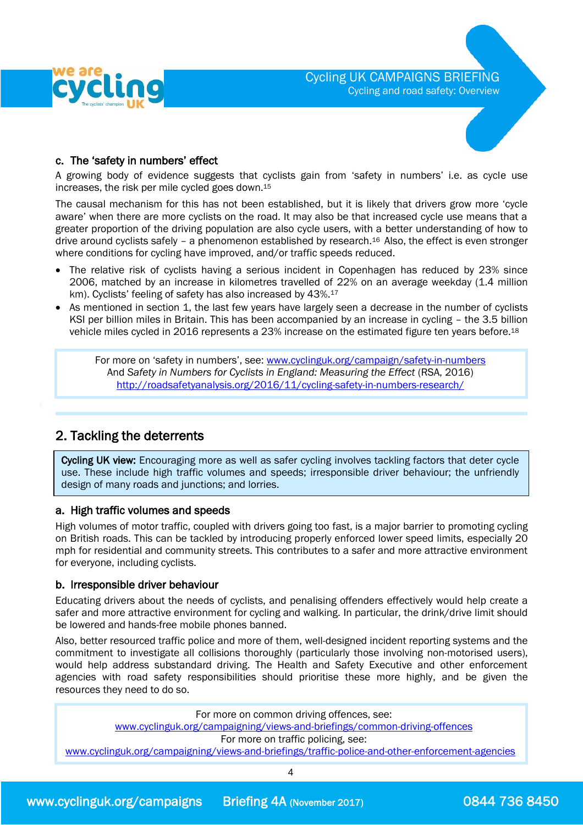

#### c. The 'safety in numbers' effect

A growing body of evidence suggests that cyclists gain from 'safety in numbers' i.e. as cycle use increases, the risk per mile cycled goes down.<sup>15</sup>

The causal mechanism for this has not been established, but it is likely that drivers grow more 'cycle aware' when there are more cyclists on the road. It may also be that increased cycle use means that a greater proportion of the driving population are also cycle users, with a better understanding of how to drive around cyclists safely - a phenomenon established by research.<sup>16</sup> Also, the effect is even stronger where conditions for cycling have improved, and/or traffic speeds reduced.

- The relative risk of cyclists having a serious incident in Copenhagen has reduced by 23% since 2006, matched by an increase in kilometres travelled of 22% on an average weekday (1.4 million km). Cyclists' feeling of safety has also increased by 43%.<sup>17</sup>
- As mentioned in section 1, the last few years have largely seen a decrease in the number of cyclists KSI per billion miles in Britain. This has been accompanied by an increase in cycling – the 3.5 billion vehicle miles cycled in 2016 represents a 23% increase on the estimated figure ten years before.<sup>18</sup>

For more on 'safety in numbers', see: [www.cyclinguk.org/campaign/safety-in-numbers](http://www.cyclinguk.org/campaign/safety-in-numbers) And *Safety in Numbers for Cyclists in England: Measuring the Effect* (RSA, 2016) <http://roadsafetyanalysis.org/2016/11/cycling-safety-in-numbers-research/>

## 2. Tackling the deterrents

j

Cycling UK view: Encouraging more as well as safer cycling involves tackling factors that deter cycle use. These include high traffic volumes and speeds; irresponsible driver behaviour; the unfriendly design of many roads and junctions; and lorries.

#### a. High traffic volumes and speeds

High volumes of motor traffic, coupled with drivers going too fast, is a major barrier to promoting cycling on British roads. This can be tackled by introducing properly enforced lower speed limits, especially 20 mph for residential and community streets. This contributes to a safer and more attractive environment for everyone, including cyclists.

#### b. Irresponsible driver behaviour

Educating drivers about the needs of cyclists, and penalising offenders effectively would help create a safer and more attractive environment for cycling and walking. In particular, the drink/drive limit should be lowered and hands-free mobile phones banned.

Also, better resourced traffic police and more of them, well-designed incident reporting systems and the commitment to investigate all collisions thoroughly (particularly those involving non-motorised users), would help address substandard driving. The Health and Safety Executive and other enforcement agencies with road safety responsibilities should prioritise these more highly, and be given the resources they need to do so.

For more on common driving offences, see: [www.cyclinguk.org/campaigning/views-and-briefings/common-driving-offences](http://www.cyclinguk.org/campaigning/views-and-briefings/common-driving-offences) For more on traffic policing, see: [www.cyclinguk.org/campaigning/views-and-briefings/traffic-police-and-other-enforcement-agencies](http://www.cyclinguk.org/campaigning/views-and-briefings/traffic-police-and-other-enforcement-agencies)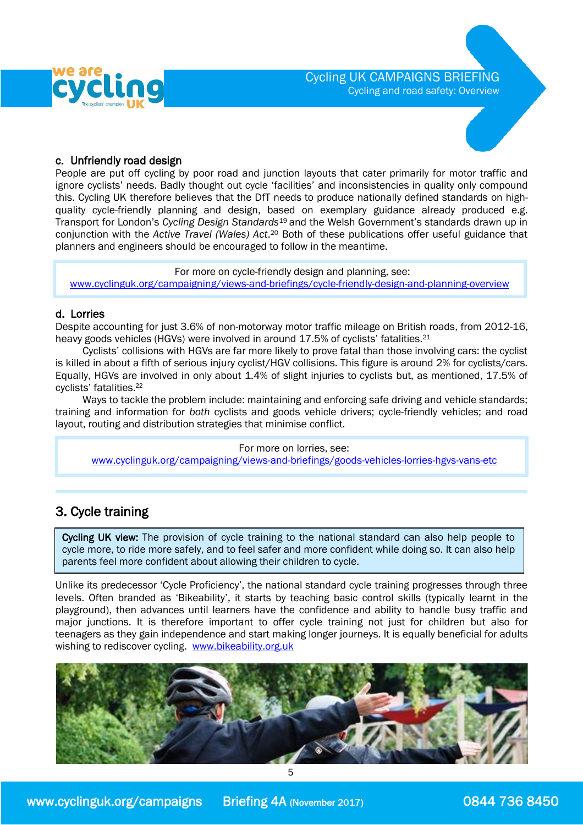



#### c. Unfriendly road design

People are put off cycling by poor road and junction layouts that cater primarily for motor traffic and ignore cyclists' needs. Badly thought out cycle 'facilities' and inconsistencies in quality only compound this. Cycling UK therefore believes that the DfT needs to produce nationally defined standards on highquality cycle-friendly planning and design, based on exemplary guidance already produced e.g. Transport for London's *Cycling Design Standards*<sup>19</sup> and the Welsh Government's standards drawn up in conjunction with the *Active Travel (Wales) Act*. <sup>20</sup> Both of these publications offer useful guidance that planners and engineers should be encouraged to follow in the meantime.

For more on cycle-friendly design and planning, see: [www.cyclinguk.org/campaigning/views-and-briefings/cycle-friendly-design-and-planning-overview](http://www.cyclinguk.org/campaigning/views-and-briefings/cycle-friendly-design-and-planning-overview)

#### d. Lorries

Despite accounting for just 3.6% of non-motorway motor traffic mileage on British roads, from 2012-16, heavy goods vehicles (HGVs) were involved in around 17.5% of cyclists' fatalities.<sup>21</sup>

 Cyclists' collisions with HGVs are far more likely to prove fatal than those involving cars: the cyclist is killed in about a fifth of serious injury cyclist/HGV collisions. This figure is around 2% for cyclists/cars. Equally, HGVs are involved in only about 1.4% of slight injuries to cyclists but, as mentioned, 17.5% of cyclists' fatalities.<sup>22</sup>

 Ways to tackle the problem include: maintaining and enforcing safe driving and vehicle standards; training and information for *both* cyclists and goods vehicle drivers; cycle-friendly vehicles; and road layout, routing and distribution strategies that minimise conflict.

For more on lorries, see: [www.cyclinguk.org/campaigning/views-and-briefings/goods-vehicles-lorries-hgvs-vans-etc](http://www.cyclinguk.org/campaigning/views-and-briefings/goods-vehicles-lorries-hgvs-vans-etc)

## 3. Cycle training

Cycling UK view: The provision of cycle training to the national standard can also help people to cycle more, to ride more safely, and to feel safer and more confident while doing so. It can also help parents feel more confident about allowing their children to cycle.

Unlike its predecessor 'Cycle Proficiency', the national standard cycle training progresses through three levels. Often branded as 'Bikeability', it starts by teaching basic control skills (typically learnt in the playground), then advances until learners have the confidence and ability to handle busy traffic and major junctions. It is therefore important to offer cycle training not just for children but also for teenagers as they gain independence and start making longer journeys. It is equally beneficial for adults wishing to rediscover cycling. [www.bikeability.org.uk](http://www.bikeability.org.uk/)

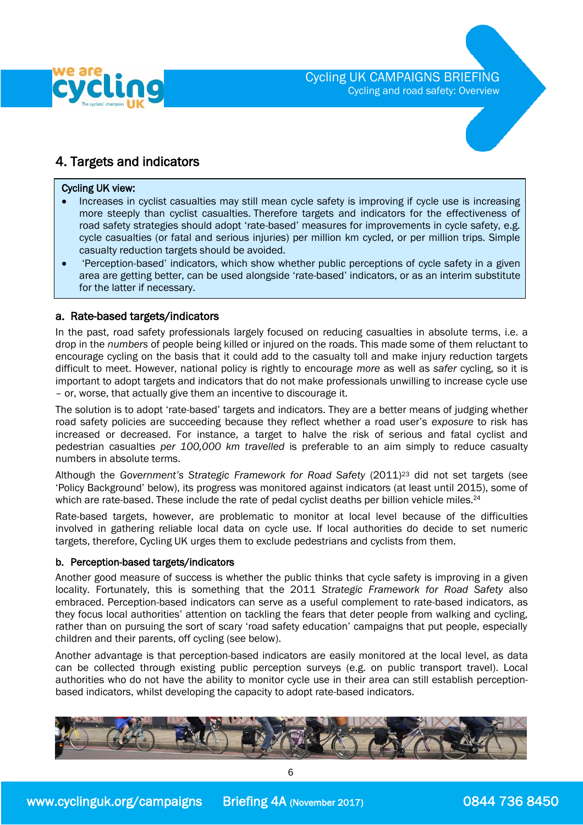

# 4. Targets and indicators

#### Cycling UK view:

 $\overline{a}$ 

j

- Increases in cyclist casualties may still mean cycle safety is improving if cycle use is increasing more steeply than cyclist casualties. Therefore targets and indicators for the effectiveness of road safety strategies should adopt 'rate-based' measures for improvements in cycle safety, e.g. cycle casualties (or fatal and serious injuries) per million km cycled, or per million trips. Simple casualty reduction targets should be avoided.
- 'Perception-based' indicators, which show whether public perceptions of cycle safety in a given area are getting better, can be used alongside 'rate-based' indicators, or as an interim substitute for the latter if necessary.

#### a. Rate-based targets/indicators

In the past, road safety professionals largely focused on reducing casualties in absolute terms, i.e. a drop in the *numbers* of people being killed or injured on the roads. This made some of them reluctant to encourage cycling on the basis that it could add to the casualty toll and make injury reduction targets difficult to meet. However, national policy is rightly to encourage *more* as well as *safer* cycling, so it is important to adopt targets and indicators that do not make professionals unwilling to increase cycle use – or, worse, that actually give them an incentive to discourage it.

The solution is to adopt 'rate-based' targets and indicators. They are a better means of judging whether road safety policies are succeeding because they reflect whether a road user's *exposure* to risk has increased or decreased. For instance, a target to halve the risk of serious and fatal cyclist and pedestrian casualties *per 100,000 km travelled* is preferable to an aim simply to reduce casualty numbers in absolute terms.

Although the *Government's Strategic Framework for Road Safety* (2011)<sup>23</sup> did not set targets (see 'Policy Background' below), its progress was monitored against indicators (at least until 2015), some of which are rate-based. These include the rate of pedal cyclist deaths per billion vehicle miles.<sup>24</sup>

Rate-based targets, however, are problematic to monitor at local level because of the difficulties involved in gathering reliable local data on cycle use. If local authorities do decide to set numeric targets, therefore, Cycling UK urges them to exclude pedestrians and cyclists from them.

#### b. Perception-based targets/indicators

Another good measure of success is whether the public thinks that cycle safety is improving in a given locality. Fortunately, this is something that the 2011 *Strategic Framework for Road Safety* also embraced. Perception-based indicators can serve as a useful complement to rate-based indicators, as they focus local authorities' attention on tackling the fears that deter people from walking and cycling, rather than on pursuing the sort of scary 'road safety education' campaigns that put people, especially children and their parents, off cycling (see below).

Another advantage is that perception-based indicators are easily monitored at the local level, as data can be collected through existing public perception surveys (e.g. on public transport travel). Local authorities who do not have the ability to monitor cycle use in their area can still establish perceptionbased indicators, whilst developing the capacity to adopt rate-based indicators.

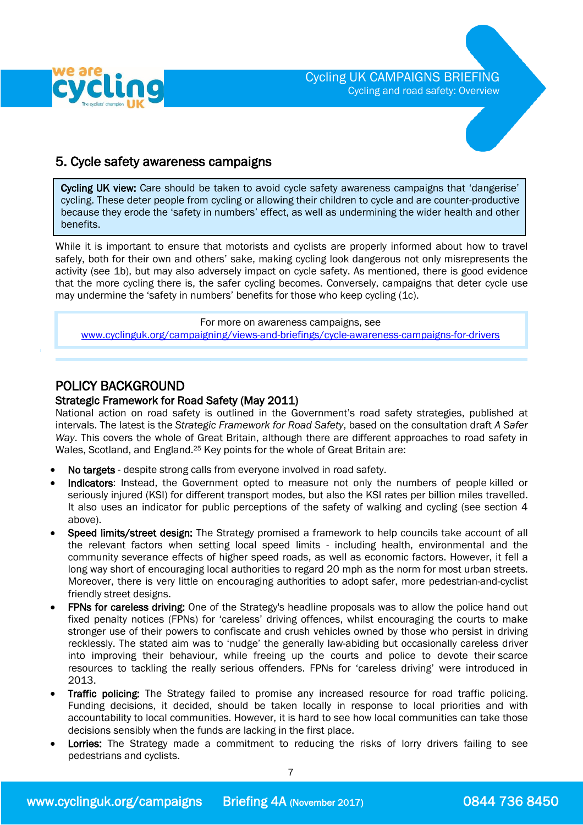

## 5. Cycle safety awareness campaigns

Cycling UK view: Care should be taken to avoid cycle safety awareness campaigns that 'dangerise' cycling. These deter people from cycling or allowing their children to cycle and are counter-productive because they erode the 'safety in numbers' effect, as well as undermining the wider health and other benefits.

While it is important to ensure that motorists and cyclists are properly informed about how to travel safely, both for their own and others' sake, making cycling look dangerous not only misrepresents the activity (see 1b), but may also adversely impact on cycle safety. As mentioned, there is good evidence that the more cycling there is, the safer cycling becomes. Conversely, campaigns that deter cycle use may undermine the 'safety in numbers' benefits for those who keep cycling (1c).

For more on awareness campaigns, see [www.cyclinguk.org/campaigning/views-and-briefings/cycle-awareness-campaigns-for-drivers](http://www.cyclinguk.org/campaigning/views-and-briefings/cycle-awareness-campaigns-for-drivers)

## POLICY BACKGROUND

Ĩ

#### Strategic Framework for Road Safety (May 2011)

National action on road safety is outlined in the Government's road safety strategies, published at intervals. The latest is the *Strategic Framework for Road Safety*, based on the consultation draft *A Safer Way*. This covers the whole of Great Britain, although there are different approaches to road safety in Wales, Scotland, and England.<sup>25</sup> Key points for the whole of Great Britain are:

- No targets despite strong calls from everyone involved in road safety.
- Indicators: Instead, the Government opted to measure not only the numbers of people killed or seriously injured (KSI) for different transport modes, but also the KSI rates per billion miles travelled. It also uses an indicator for public perceptions of the safety of walking and cycling (see section 4 above).
- Speed limits/street design: The Strategy promised a framework to help councils take account of all the relevant factors when setting local speed limits - including health, environmental and the community severance effects of higher speed roads, as well as economic factors. However, it fell a long way short of encouraging local authorities to regard 20 mph as the norm for most urban streets. Moreover, there is very little on encouraging authorities to adopt safer, more pedestrian-and-cyclist friendly street designs.
- FPNs for careless driving: One of the Strategy's headline proposals was to allow the police hand out fixed penalty notices (FPNs) for 'careless' driving offences, whilst encouraging the courts to make stronger use of their powers to confiscate and crush vehicles owned by those who persist in driving recklessly. The stated aim was to 'nudge' the generally law-abiding but occasionally careless driver into improving their behaviour, while freeing up the courts and police to devote their scarce resources to tackling the really serious offenders. FPNs for 'careless driving' were introduced in 2013.
- Traffic policing: The Strategy failed to promise any increased resource for road traffic policing. Funding decisions, it decided, should be taken locally in response to local priorities and with accountability to local communities. However, it is hard to see how local communities can take those decisions sensibly when the funds are lacking in the first place.
- Lorries: The Strategy made a commitment to reducing the risks of lorry drivers failing to see pedestrians and cyclists.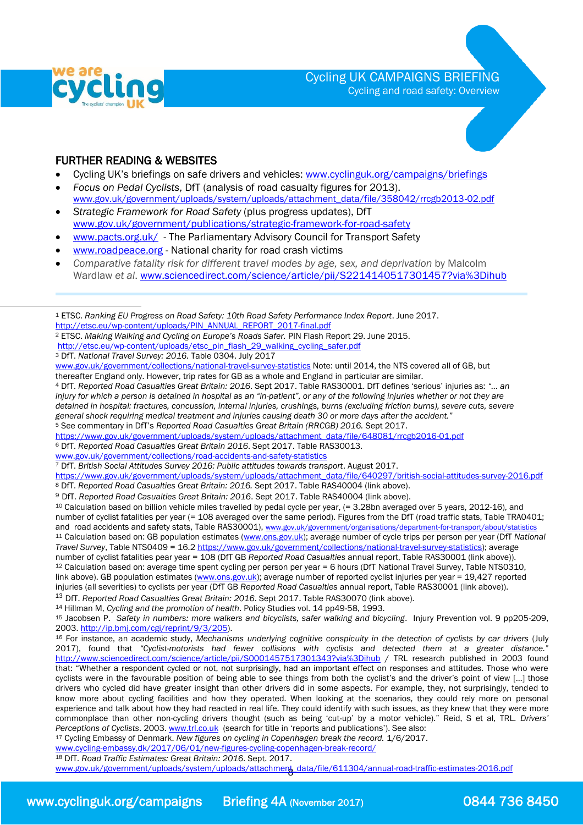

 $\overline{a}$ 

## Cycling UK CAMPAIGNS BRIEFING

Cycling and road safety: Overview



#### FURTHER READING & WEBSITES

- Cycling UK's briefings on safe drivers and vehicles: [www.cyclinguk.org/campaigns/briefings](http://www.cyclinguk.org/campaigns/briefings)
- *Focus on Pedal Cyclists*, DfT (analysis of road casualty figures for 2013). [www.gov.uk/government/uploads/system/uploads/attachment\\_data/file/358042/rrcgb2013-02.pdf](http://www.gov.uk/government/uploads/system/uploads/attachment_data/file/358042/rrcgb2013-02.pdf)
- *Strategic Framework for Road Safety* (plus progress updates), DfT [www.gov.uk/government/publications/strategic-framework-for-road-safety](http://www.gov.uk/government/publications/strategic-framework-for-road-safety)
- [www.pacts.org.uk/](http://www.pacts.org.uk/) The Parliamentary Advisory Council for Transport Safety
- [www.roadpeace.org](http://www.roadpeace.org/) National charity for road crash victims
- *Comparative fatality risk for different travel modes by age, sex, and deprivation* by Malcolm Wardlaw *et al*. [www.sciencedirect.com/science/article/pii/S2214140517301457?via%3Dihub](http://www.sciencedirect.com/science/article/pii/S2214140517301457?via%3Dihub)

- [http://etsc.eu/wp-content/uploads/etsc\\_pin\\_flash\\_29\\_walking\\_cycling\\_safer.pdf](http://etsc.eu/wp-content/uploads/etsc_pin_flash_29_walking_cycling_safer.pdf)
- <sup>3</sup> DfT. *National Travel Survey: 2016.* Table 0304. July 2017

[www.gov.uk/government/collections/national-travel-survey-statistics](http://www.gov.uk/government/collections/national-travel-survey-statistics) Note: until 2014, the NTS covered all of GB, but thereafter England only. However, trip rates for GB as a whole and England in particular are similar.

<sup>4</sup> DfT. *Reported Road Casualties Great Britain: 2016*. Sept 2017. Table RAS30001. DfT defines 'serious' injuries as: *"… an injury for which a person is detained in hospital as an "in-patient", or any of the following injuries whether or not they are detained in hospital: fractures, concussion, internal injuries, crushings, burns (excluding friction burns), severe cuts, severe general shock requiring medical treatment and injuries causing death 30 or more days after the accident."* <sup>5</sup> See commentary in DfT's *Reported Road Casualties Great Britain (RRCGB) 2016.* Sept 2017.

[https://www.gov.uk/government/uploads/system/uploads/attachment\\_data/file/648081/rrcgb2016-01.pdf](https://www.gov.uk/government/uploads/system/uploads/attachment_data/file/648081/rrcgb2016-01.pdf)

<sup>6</sup> DfT. *Reported Road Casualties Great Britain 2016*. Sept 2017. Table RAS30013.

- [www.gov.uk/government/collections/road-accidents-and-safety-statistics](http://www.gov.uk/government/collections/road-accidents-and-safety-statistics)
- <sup>7</sup> DfT. *British Social Attitudes Survey 2016: Public attitudes towards transport*. August 2017.

<sup>8</sup> DfT. *Reported Road Casualties Great Britain: 2016.* Sept 2017. Table RAS40004 (link above). <sup>9</sup> DfT. *Reported Road Casualties Great Britain: 2016*. Sept 2017. Table RAS40004 (link above).

<sup>10</sup> Calculation based on billion vehicle miles travelled by pedal cycle per year, (= 3.28bn averaged over 5 years, 2012-16), and number of cyclist fatalities per year (= 108 averaged over the same period). Figures from the DfT (road traffic stats, Table TRA0401; and road accidents and safety stats, Table RAS30001), www.gov.uk/government/organisations/department-for-transport/about/statistic <sup>11</sup> Calculation based on: GB population estimates [\(www.ons.gov.uk\)](http://www.ons.gov.uk/); average number of cycle trips per person per year (DfT *National Travel Survey*, Table NTS0409 = 16.2 [https://www.gov.uk/government/collections/national-travel-survey-statistics\)](https://www.gov.uk/government/collections/national-travel-survey-statistics); average number of cyclist fatalities pear year = 108 (DfT GB *Reported Road Casualties* annual report, Table RAS30001 (link above)). <sup>12</sup> Calculation based on: average time spent cycling per person per year = 6 hours (DfT National Travel Survey, Table NTS0310, link above). GB population estimates [\(www.ons.gov.uk\)](http://www.ons.gov.uk/); average number of reported cyclist injuries per year = 19,427 reported injuries (all severities) to cyclists per year (DfT GB *Reported Road Casualties* annual report, Table RAS30001 (link above)). <sup>13</sup> DfT. *Reported Road Casualties Great Britain: 2016*. Sept 2017. Table RAS30070 (link above).

<sup>14</sup> Hillman M, *Cycling and the promotion of health*. Policy Studies vol. 14 pp49-58, 1993.

<sup>15</sup> Jacobsen P. *Safety in numbers: more walkers and bicyclists, safer walking and bicycling*. Injury Prevention vol. 9 pp205-209, 2003. [http://ip.bmj.com/cgi/reprint/9/3/205\)](http://ip.bmj.com/cgi/reprint/9/3/205).

16 For instance, an academic study, Mechanisms underlying cognitive conspicuity in the detection of cyclists by car drivers (July 2017), found that *"Cyclist-motorists had fewer collisions with cyclists and detected them at a greater distance."*  <http://www.sciencedirect.com/science/article/pii/S0001457517301343?via%3Dihub> / TRL research published in 2003 found that: "Whether a respondent cycled or not, not surprisingly, had an important effect on responses and attitudes. Those who were cyclists were in the favourable position of being able to see things from both the cyclist's and the driver's point of view […] those drivers who cycled did have greater insight than other drivers did in some aspects. For example, they, not surprisingly, tended to know more about cycling facilities and how they operated. When looking at the scenarios, they could rely more on personal experience and talk about how they had reacted in real life. They could identify with such issues, as they knew that they were more commonplace than other non-cycling drivers thought (such as being 'cut-up' by a motor vehicle)." Reid, S et al, TRL. *Drivers' Perceptions of Cyclists*. 2003[. www.trl.co.uk](http://www.trl.co.uk/) (search for title in 'reports and publications'). See also:

<sup>17</sup> Cycling Embassy of Denmark. *New figures on cycling in Copenhagen break the record.* 1/6/2017.

www.cycling-embassy.dk/2017/06/01/new-figures-cycling-copenhagen-break-record/

<sup>18</sup> DfT. *Road Traffic Estimates: Great Britain: 2016*. Sept. 2017.

[www.gov.uk/government/uploads/system/uploads/attachment\\_data/file/611304/annual-road-traffic-estimates-2016.pdf](http://www.gov.uk/government/uploads/system/uploads/attachment_data/file/611304/annual-road-traffic-estimates-2016.pdf)<br>.

<sup>1</sup> ETSC. *Ranking EU Progress on Road Safety: 10th Road Safety Performance Index Report*. June 2017. [http://etsc.eu/wp-content/uploads/PIN\\_ANNUAL\\_REPORT\\_2017-final.pdf](http://etsc.eu/wp-content/uploads/PIN_ANNUAL_REPORT_2017-final.pdf)

<sup>2</sup> ETSC. *Making Walking and Cycling on Europe's Roads Safer.* PIN Flash Report 29. June 2015.

[https://www.gov.uk/government/uploads/system/uploads/attachment\\_data/file/640297/british-social-attitudes-survey-2016.pdf](https://www.gov.uk/government/uploads/system/uploads/attachment_data/file/640297/british-social-attitudes-survey-2016.pdf)